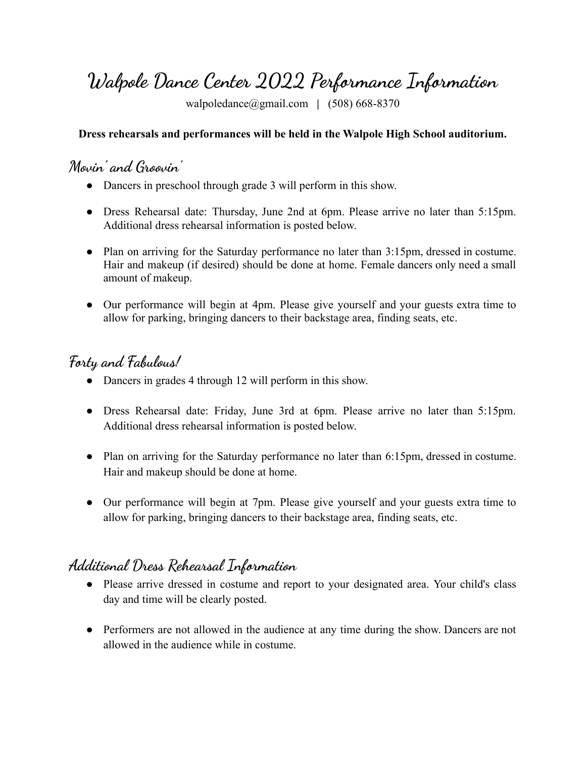# **Walpole Dance Center 2022 Performance Information**

[walpoledance@gmail.com](mailto:walpoledance@gmail.com) **|** (508) 668-8370

#### **Dress rehearsals and performances will be held in the Walpole High School auditorium.**

### **Movin' and Groovin'**

- Dancers in preschool through grade 3 will perform in this show.
- Dress Rehearsal date: Thursday, June 2nd at 6pm. Please arrive no later than 5:15pm. Additional dress rehearsal information is posted below.
- Plan on arriving for the Saturday performance no later than 3:15pm, dressed in costume. Hair and makeup (if desired) should be done at home. Female dancers only need a small amount of makeup.
- Our performance will begin at 4pm. Please give yourself and your guests extra time to allow for parking, bringing dancers to their backstage area, finding seats, etc.

#### **Forty and Fabulous!**

- Dancers in grades 4 through 12 will perform in this show.
- Dress Rehearsal date: Friday, June 3rd at 6pm. Please arrive no later than 5:15pm. Additional dress rehearsal information is posted below.
- Plan on arriving for the Saturday performance no later than 6:15pm, dressed in costume. Hair and makeup should be done at home.
- Our performance will begin at 7pm. Please give yourself and your guests extra time to allow for parking, bringing dancers to their backstage area, finding seats, etc.

#### **Additional Dress Rehearsal Information**

- Please arrive dressed in costume and report to your designated area. Your child's class day and time will be clearly posted.
- Performers are not allowed in the audience at any time during the show. Dancers are not allowed in the audience while in costume.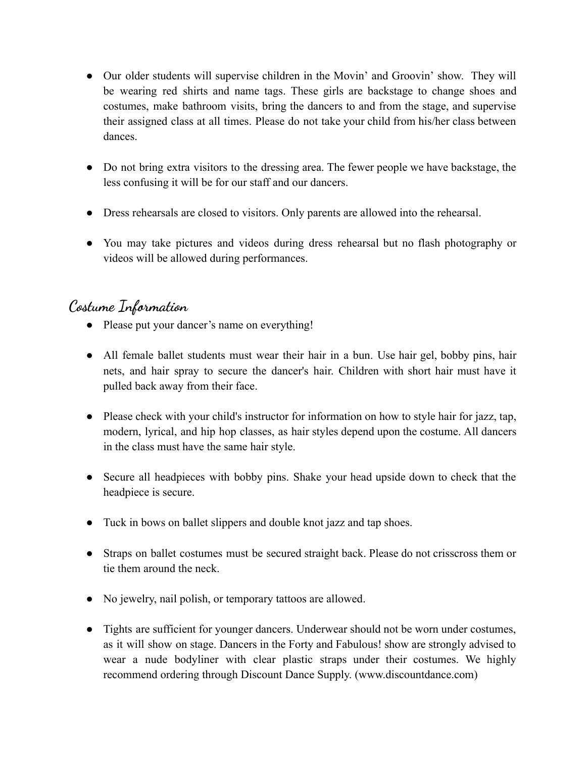- Our older students will supervise children in the Movin' and Groovin' show. They will be wearing red shirts and name tags. These girls are backstage to change shoes and costumes, make bathroom visits, bring the dancers to and from the stage, and supervise their assigned class at all times. Please do not take your child from his/her class between dances.
- Do not bring extra visitors to the dressing area. The fewer people we have backstage, the less confusing it will be for our staff and our dancers.
- Dress rehearsals are closed to visitors. Only parents are allowed into the rehearsal.
- You may take pictures and videos during dress rehearsal but no flash photography or videos will be allowed during performances.

#### **Costume Information**

- Please put your dancer's name on everything!
- All female ballet students must wear their hair in a bun. Use hair gel, bobby pins, hair nets, and hair spray to secure the dancer's hair. Children with short hair must have it pulled back away from their face.
- Please check with your child's instructor for information on how to style hair for jazz, tap, modern, lyrical, and hip hop classes, as hair styles depend upon the costume. All dancers in the class must have the same hair style.
- Secure all headpieces with bobby pins. Shake your head upside down to check that the headpiece is secure.
- Tuck in bows on ballet slippers and double knot jazz and tap shoes.
- Straps on ballet costumes must be secured straight back. Please do not crisscross them or tie them around the neck.
- No jewelry, nail polish, or temporary tattoos are allowed.
- Tights are sufficient for younger dancers. Underwear should not be worn under costumes, as it will show on stage. Dancers in the Forty and Fabulous! show are strongly advised to wear a nude bodyliner with clear plastic straps under their costumes. We highly recommend ordering through Discount Dance Supply. (www.discountdance.com)